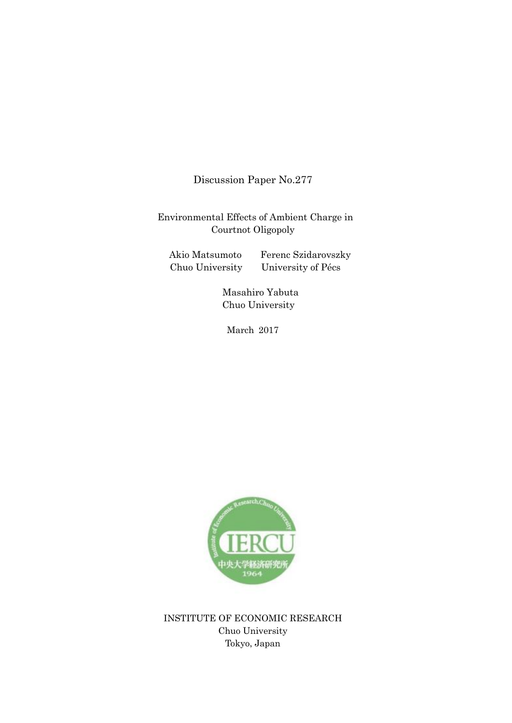Discussion Paper No.277

Environmental Effects of Ambient Charge in Courtnot Oligopoly

Akio Matsumoto Ferenc Szidarovszky Chuo University University of Pécs

 Masahiro Yabuta Chuo University

March 2017



INSTITUTE OF ECONOMIC RESEARCH Chuo University Tokyo, Japan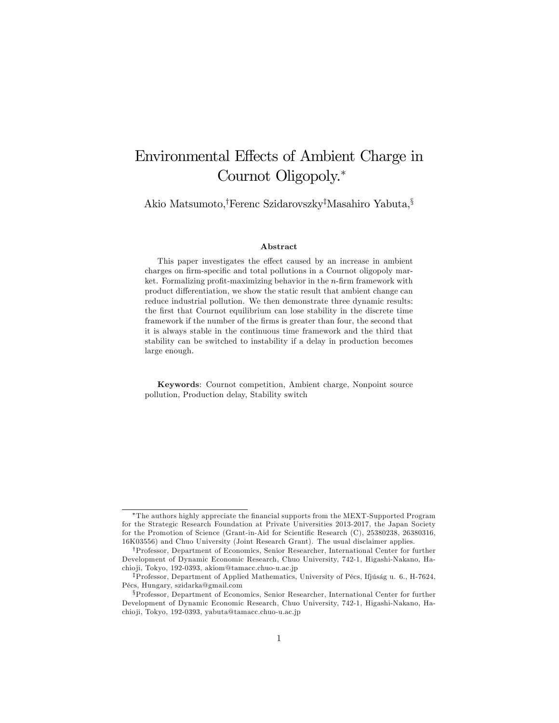# Environmental Effects of Ambient Charge in Cournot Oligopoly.\*

Akio Matsumoto,<sup>†</sup>Ferenc Szidarovszky<sup>‡</sup>Masahiro Yabuta, $\frac{1}{2}$ 

#### Abstract

This paper investigates the effect caused by an increase in ambient charges on firm-specific and total pollutions in a Cournot oligopoly market. Formalizing profit-maximizing behavior in the  $n$ -firm framework with product differentiation, we show the static result that ambient change can reduce industrial pollution. We then demonstrate three dynamic results: the first that Cournot equilibrium can lose stability in the discrete time framework if the number of the Örms is greater than four, the second that it is always stable in the continuous time framework and the third that stability can be switched to instability if a delay in production becomes large enough.

Keywords: Cournot competition, Ambient charge, Nonpoint source pollution, Production delay, Stability switch

The authors highly appreciate the Önancial supports from the MEXT-Supported Program for the Strategic Research Foundation at Private Universities 2013-2017, the Japan Society for the Promotion of Science (Grant-in-Aid for Scientific Research (C), 25380238, 26380316, 16K03556) and Chuo University (Joint Research Grant). The usual disclaimer applies.

<sup>&</sup>lt;sup>†</sup>Professor, Department of Economics, Senior Researcher, International Center for further Development of Dynamic Economic Research, Chuo University, 742-1, Higashi-Nakano, Hachio ji, Tokyo, 192-0393, akiom@tamacc.chuo-u.ac.jp

<sup>&</sup>lt;sup>‡</sup>Professor, Department of Applied Mathematics, University of Pécs, Ifjúság u. 6., H-7624, PÈcs, Hungary, szidarka@gmail.com

xProfessor, Department of Economics, Senior Researcher, International Center for further Development of Dynamic Economic Research, Chuo University, 742-1, Higashi-Nakano, Hachio ji, Tokyo, 192-0393, yabuta@tamacc.chuo-u.ac.jp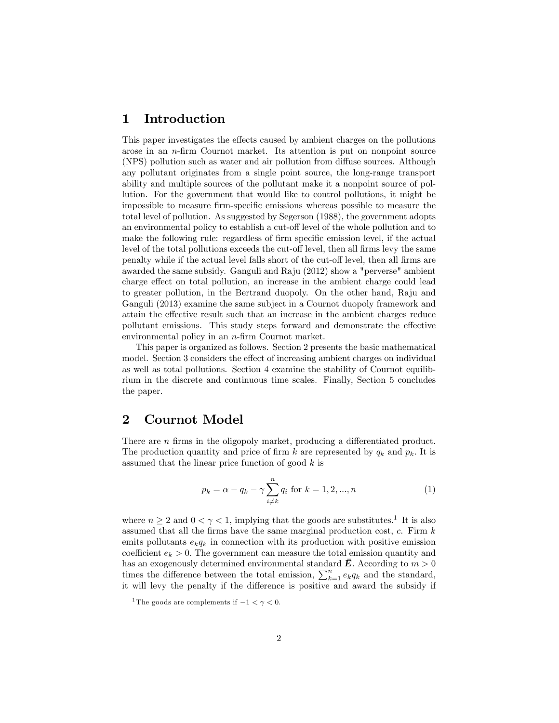# 1 Introduction

This paper investigates the effects caused by ambient charges on the pollutions arose in an  $n$ -firm Cournot market. Its attention is put on nonpoint source (NPS) pollution such as water and air pollution from diffuse sources. Although any pollutant originates from a single point source, the long-range transport ability and multiple sources of the pollutant make it a nonpoint source of pollution. For the government that would like to control pollutions, it might be impossible to measure firm-specific emissions whereas possible to measure the total level of pollution. As suggested by Segerson (1988), the government adopts an environmental policy to establish a cut-off level of the whole pollution and to make the following rule: regardless of firm specific emission level, if the actual level of the total pollutions exceeds the cut-off level, then all firms levy the same penalty while if the actual level falls short of the cut-off level, then all firms are awarded the same subsidy. Ganguli and Raju (2012) show a "perverse" ambient charge effect on total pollution, an increase in the ambient charge could lead to greater pollution, in the Bertrand duopoly. On the other hand, Raju and Ganguli (2013) examine the same subject in a Cournot duopoly framework and attain the effective result such that an increase in the ambient charges reduce pollutant emissions. This study steps forward and demonstrate the effective environmental policy in an  $n$ -firm Cournot market.

This paper is organized as follows. Section 2 presents the basic mathematical model. Section 3 considers the effect of increasing ambient charges on individual as well as total pollutions. Section 4 examine the stability of Cournot equilibrium in the discrete and continuous time scales. Finally, Section 5 concludes the paper.

## 2 Cournot Model

There are  $n$  firms in the oligopoly market, producing a differentiated product. The production quantity and price of firm k are represented by  $q_k$  and  $p_k$ . It is assumed that the linear price function of good  $k$  is

$$
p_k = \alpha - q_k - \gamma \sum_{i \neq k}^{n} q_i \text{ for } k = 1, 2, ..., n
$$
 (1)

where  $n \geq 2$  and  $0 < \gamma < 1$ , implying that the goods are substitutes.<sup>1</sup> It is also assumed that all the firms have the same marginal production cost,  $c$ . Firm  $k$ emits pollutants  $e_kq_k$  in connection with its production with positive emission coefficient  $e_k > 0$ . The government can measure the total emission quantity and has an exogenously determined environmental standard  $\bf{E}$ . According to  $m > 0$ times the difference between the total emission,  $\sum_{k=1}^{n} e_k q_k$  and the standard, it will levy the penalty if the difference is positive and award the subsidy if

<sup>&</sup>lt;sup>1</sup>The goods are complements if  $-1 < \gamma < 0$ .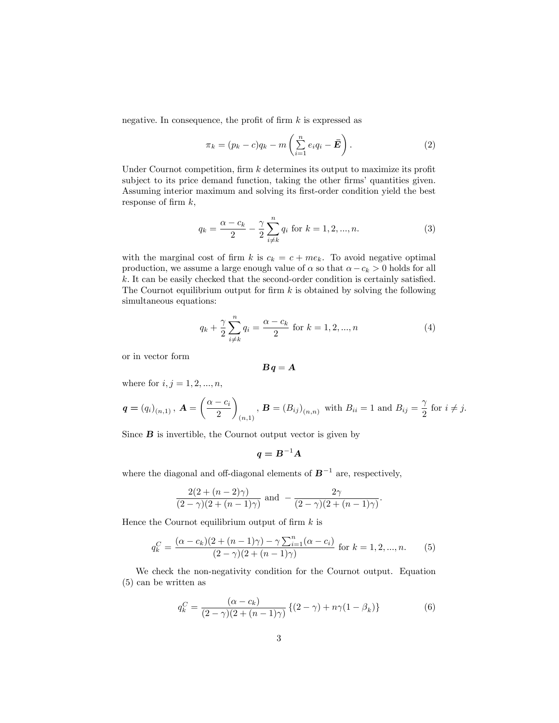negative. In consequence, the profit of firm  $k$  is expressed as

$$
\pi_k = (p_k - c)q_k - m\left(\sum_{i=1}^n e_i q_i - \bar{E}\right).
$$
 (2)

Under Cournot competition, firm  $k$  determines its output to maximize its profit subject to its price demand function, taking the other firms' quantities given. Assuming interior maximum and solving its first-order condition yield the best response of firm  $k$ ,

$$
q_k = \frac{\alpha - c_k}{2} - \frac{\gamma}{2} \sum_{i \neq k}^{n} q_i \text{ for } k = 1, 2, ..., n.
$$
 (3)

with the marginal cost of firm k is  $c_k = c + me_k$ . To avoid negative optimal production, we assume a large enough value of  $\alpha$  so that  $\alpha - c_k > 0$  holds for all  $k$ . It can be easily checked that the second-order condition is certainly satisfied. The Cournot equilibrium output for firm  $k$  is obtained by solving the following simultaneous equations:

$$
q_k + \frac{\gamma}{2} \sum_{i \neq k}^{n} q_i = \frac{\alpha - c_k}{2} \text{ for } k = 1, 2, ..., n
$$
 (4)

or in vector form

$$
\bm{B}\bm{q}=\bm{A}
$$

where for  $i, j = 1, 2, ..., n$ ,

$$
\mathbf{q} = (q_i)_{(n,1)}, \mathbf{A} = \left(\frac{\alpha - c_i}{2}\right)_{(n,1)}, \mathbf{B} = (B_{ij})_{(n,n)}
$$
 with  $B_{ii} = 1$  and  $B_{ij} = \frac{\gamma}{2}$  for  $i \neq j$ .

Since  $\bf{B}$  is invertible, the Cournot output vector is given by

$$
q = B^{-1}A
$$

where the diagonal and off-diagonal elements of  $B^{-1}$  are, respectively,

$$
\frac{2(2+(n-2)\gamma)}{(2-\gamma)(2+(n-1)\gamma)}
$$
 and 
$$
-\frac{2\gamma}{(2-\gamma)(2+(n-1)\gamma)}
$$

Hence the Cournot equilibrium output of firm  $k$  is

$$
q_k^C = \frac{(\alpha - c_k)(2 + (n - 1)\gamma) - \gamma \sum_{i=1}^n (\alpha - c_i)}{(2 - \gamma)(2 + (n - 1)\gamma)}
$$
 for  $k = 1, 2, ..., n$ . (5)

We check the non-negativity condition for the Cournot output. Equation (5) can be written as

$$
q_k^C = \frac{(\alpha - c_k)}{(2 - \gamma)(2 + (n - 1)\gamma)} \left\{ (2 - \gamma) + n\gamma (1 - \beta_k) \right\} \tag{6}
$$

: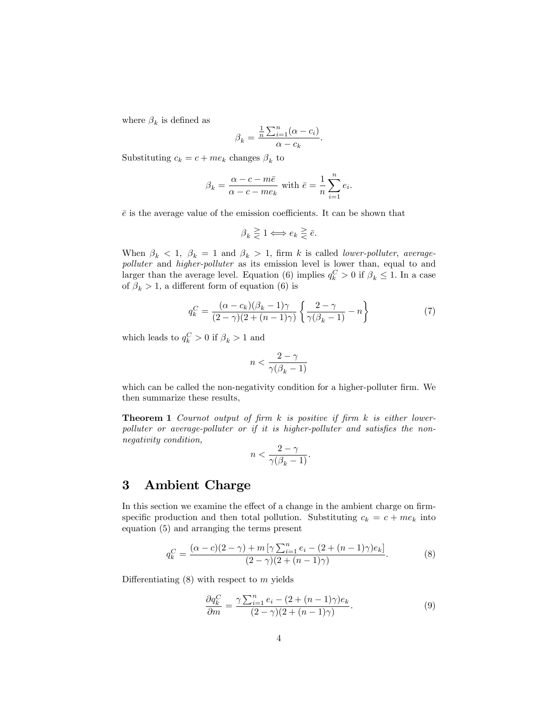where  $\beta_k$  is defined as

$$
\beta_k = \frac{\frac{1}{n} \sum_{i=1}^n (\alpha - c_i)}{\alpha - c_k}.
$$

Substituting  $c_k = c + me_k$  changes  $\beta_k$  to

$$
\beta_k = \frac{\alpha - c - m\bar{e}}{\alpha - c - m e_k}
$$
 with  $\bar{e} = \frac{1}{n} \sum_{i=1}^n e_i$ .

 $\bar{e}$  is the average value of the emission coefficients. It can be shown that

$$
\beta_k \geq 1 \Longleftrightarrow e_k \geq \bar{e}.
$$

When  $\beta_k < 1$ ,  $\beta_k = 1$  and  $\beta_k > 1$ , firm k is called lower-polluter, averagepolluter and higher-polluter as its emission level is lower than, equal to and larger than the average level. Equation (6) implies  $q_k^C > 0$  if  $\beta_k \leq 1$ . In a case of  $\beta_k > 1$ , a different form of equation (6) is

$$
q_k^C = \frac{(\alpha - c_k)(\beta_k - 1)\gamma}{(2 - \gamma)(2 + (n - 1)\gamma)} \left\{ \frac{2 - \gamma}{\gamma(\beta_k - 1)} - n \right\}
$$
(7)

which leads to  $q_k^C > 0$  if  $\beta_k > 1$  and

$$
n < \frac{2-\gamma}{\gamma(\beta_k-1)}
$$

which can be called the non-negativity condition for a higher-polluter firm. We then summarize these results,

**Theorem 1** Cournot output of firm  $k$  is positive if firm  $k$  is either lower $polluter$  or average-polluter or if it is higher-polluter and satisfies the nonnegativity condition,

$$
n<\frac{2-\gamma}{\gamma(\beta_k-1)}.
$$

## 3 Ambient Charge

In this section we examine the effect of a change in the ambient charge on firmspecific production and then total pollution. Substituting  $c_k = c + me_k$  into equation (5) and arranging the terms present

$$
q_k^C = \frac{(\alpha - c)(2 - \gamma) + m \left[ \gamma \sum_{i=1}^n e_i - (2 + (n - 1)\gamma)e_k \right]}{(2 - \gamma)(2 + (n - 1)\gamma)}.
$$
 (8)

Differentiating  $(8)$  with respect to m yields

$$
\frac{\partial q_k^C}{\partial m} = \frac{\gamma \sum_{i=1}^n e_i - (2 + (n-1)\gamma)e_k}{(2-\gamma)(2 + (n-1)\gamma)}.
$$
\n(9)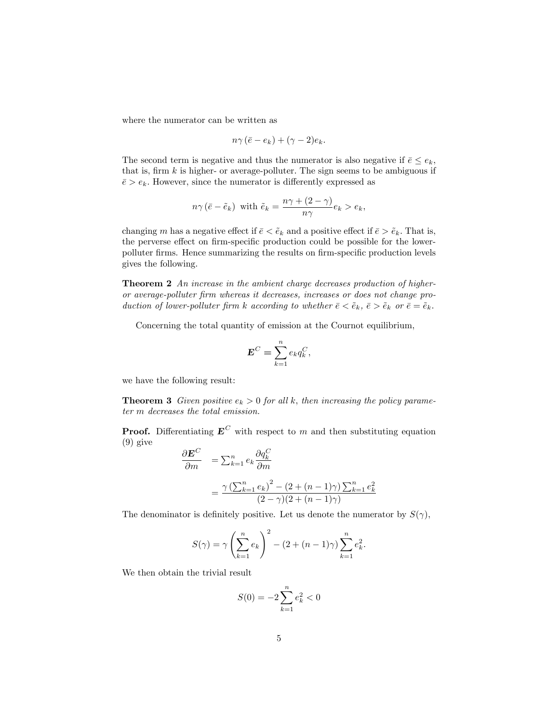where the numerator can be written as

$$
n\gamma\left(\bar{e}-e_k\right)+(\gamma-2)e_k.
$$

The second term is negative and thus the numerator is also negative if  $\bar{e} \leq e_k$ , that is, firm  $k$  is higher- or average-polluter. The sign seems to be ambiguous if  $\bar{e} > e_k$ . However, since the numerator is differently expressed as

$$
n\gamma\left(\bar{e}-\tilde{e}_k\right) \text{ with } \tilde{e}_k = \frac{n\gamma + (2-\gamma)}{n\gamma}e_k > e_k,
$$

changing m has a negative effect if  $\bar{e} < \tilde{e}_k$  and a positive effect if  $\bar{e} > \tilde{e}_k$ . That is, the perverse effect on firm-specific production could be possible for the lowerpolluter firms. Hence summarizing the results on firm-specific production levels gives the following.

**Theorem 2** An increase in the ambient charge decreases production of higheror average-polluter Örm whereas it decreases, increases or does not change production of lower-polluter firm k according to whether  $\bar{e} < \tilde{e}_k$ ,  $\bar{e} > \tilde{e}_k$  or  $\bar{e} = \tilde{e}_k$ .

Concerning the total quantity of emission at the Cournot equilibrium,

$$
\mathbf{E}^C = \sum_{k=1}^n e_k q_k^C,
$$

we have the following result:

**Theorem 3** Given positive  $e_k > 0$  for all k, then increasing the policy parameter m decreases the total emission.

**Proof.** Differentiating  $E^C$  with respect to m and then substituting equation (9) give

$$
\frac{\partial \mathbf{E}^C}{\partial m} = \sum_{k=1}^n e_k \frac{\partial q_k^C}{\partial m}
$$

$$
= \frac{\gamma \left(\sum_{k=1}^n e_k\right)^2 - (2 + (n-1)\gamma) \sum_{k=1}^n e_k^2}{(2-\gamma)(2 + (n-1)\gamma)}
$$

The denominator is definitely positive. Let us denote the numerator by  $S(\gamma)$ ,

$$
S(\gamma) = \gamma \left(\sum_{k=1}^{n} e_k\right)^2 - (2 + (n-1)\gamma) \sum_{k=1}^{n} e_k^2.
$$

We then obtain the trivial result

$$
S(0) = -2\sum_{k=1}^{n} e_k^2 < 0
$$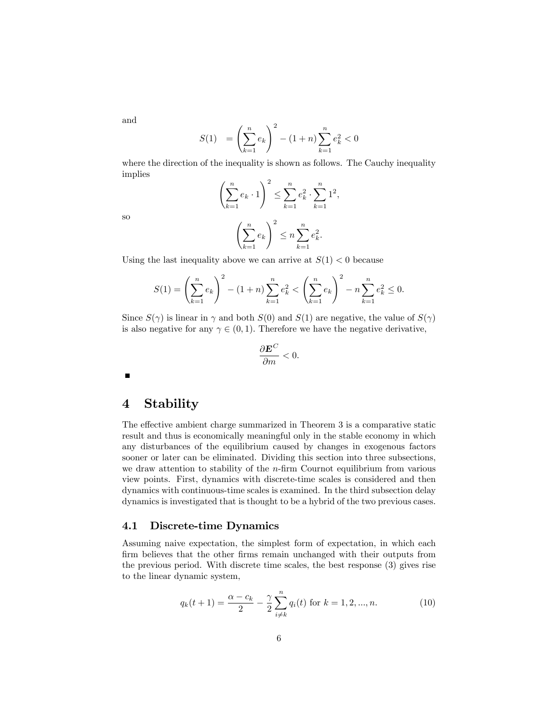and

$$
S(1) = \left(\sum_{k=1}^{n} e_k\right)^2 - (1+n)\sum_{k=1}^{n} e_k^2 < 0
$$

where the direction of the inequality is shown as follows. The Cauchy inequality implies

$$
\left(\sum_{k=1}^{n} e_k \cdot 1\right)^2 \le \sum_{k=1}^{n} e_k^2 \cdot \sum_{k=1}^{n} 1^2,
$$

so

$$
\left(\sum_{k=1}^n e_k\right)^2 \le n \sum_{k=1}^n e_k^2.
$$

Using the last inequality above we can arrive at  $S(1) < 0$  because

$$
S(1) = \left(\sum_{k=1}^{n} e_k\right)^2 - (1+n) \sum_{k=1}^{n} e_k^2 < \left(\sum_{k=1}^{n} e_k\right)^2 - n \sum_{k=1}^{n} e_k^2 \le 0.
$$

Since  $S(\gamma)$  is linear in  $\gamma$  and both  $S(0)$  and  $S(1)$  are negative, the value of  $S(\gamma)$ is also negative for any  $\gamma \in (0, 1)$ . Therefore we have the negative derivative,

$$
\frac{\partial \mathbf{E}^C}{\partial m} < 0.
$$

 $\blacksquare$ 

## 4 Stability

The effective ambient charge summarized in Theorem 3 is a comparative static result and thus is economically meaningful only in the stable economy in which any disturbances of the equilibrium caused by changes in exogenous factors sooner or later can be eliminated. Dividing this section into three subsections, we draw attention to stability of the  $n$ -firm Cournot equilibrium from various view points. First, dynamics with discrete-time scales is considered and then dynamics with continuous-time scales is examined. In the third subsection delay dynamics is investigated that is thought to be a hybrid of the two previous cases.

### 4.1 Discrete-time Dynamics

Assuming naive expectation, the simplest form of expectation, in which each firm believes that the other firms remain unchanged with their outputs from the previous period. With discrete time scales, the best response (3) gives rise to the linear dynamic system,

$$
q_k(t+1) = \frac{\alpha - c_k}{2} - \frac{\gamma}{2} \sum_{i \neq k}^{n} q_i(t) \text{ for } k = 1, 2, ..., n.
$$
 (10)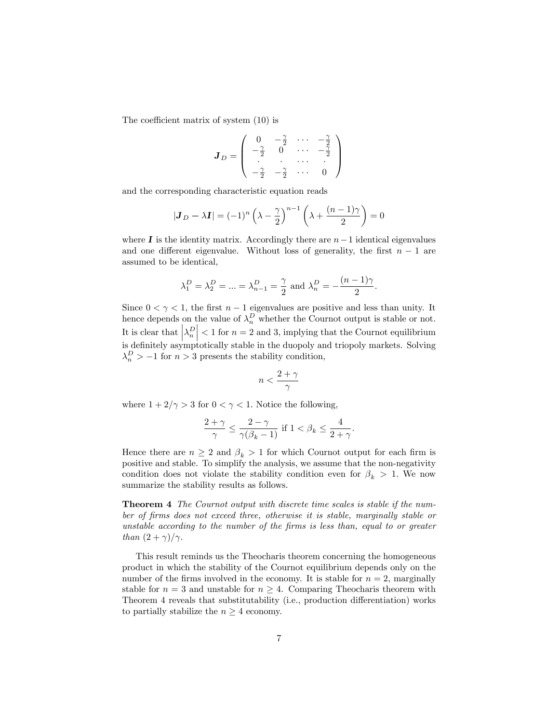The coefficient matrix of system  $(10)$  is

$$
\boldsymbol{J}_D = \left( \begin{array}{cccc} 0 & -\frac{\gamma}{2} & \cdots & -\frac{\gamma}{2} \\ -\frac{\gamma}{2} & 0 & \cdots & -\frac{\gamma}{2} \\ \vdots & \vdots & \ddots & \vdots \\ -\frac{\gamma}{2} & -\frac{\gamma}{2} & \cdots & 0 \end{array} \right)
$$

and the corresponding characteristic equation reads

$$
|\mathbf{J}_D - \lambda \mathbf{I}| = (-1)^n \left(\lambda - \frac{\gamma}{2}\right)^{n-1} \left(\lambda + \frac{(n-1)\gamma}{2}\right) = 0
$$

where  $\bf{I}$  is the identity matrix. Accordingly there are  $n-1$  identical eigenvalues and one different eigenvalue. Without loss of generality, the first  $n - 1$  are assumed to be identical,

$$
\lambda_1^D = \lambda_2^D = ... = \lambda_{n-1}^D = \frac{\gamma}{2}
$$
 and  $\lambda_n^D = -\frac{(n-1)\gamma}{2}$ .

Since  $0 < \gamma < 1$ , the first  $n - 1$  eigenvalues are positive and less than unity. It hence depends on the value of  $\lambda_n^D$  whether the Cournot output is stable or not. It is clear that  $\left|\lambda_n^D\right| < 1$  for  $n = 2$  and 3, implying that the Cournot equilibrium is definitely asymptotically stable in the duopoly and triopoly markets. Solving  $\lambda_n^D > -1$  for  $n > 3$  presents the stability condition,

$$
n < \frac{2+\gamma}{\gamma}
$$

where  $1 + 2/\gamma > 3$  for  $0 < \gamma < 1$ . Notice the following,

$$
\frac{2+\gamma}{\gamma} \le \frac{2-\gamma}{\gamma(\beta_k-1)} \text{ if } 1 < \beta_k \le \frac{4}{2+\gamma}.
$$

Hence there are  $n \geq 2$  and  $\beta_k > 1$  for which Cournot output for each firm is positive and stable. To simplify the analysis, we assume that the non-negativity condition does not violate the stability condition even for  $\beta_k > 1$ . We now summarize the stability results as follows.

Theorem 4 The Cournot output with discrete time scales is stable if the number of Örms does not exceed three, otherwise it is stable, marginally stable or unstable according to the number of the firms is less than, equal to or greater than  $(2 + \gamma)/\gamma$ .

This result reminds us the Theocharis theorem concerning the homogeneous product in which the stability of the Cournot equilibrium depends only on the number of the firms involved in the economy. It is stable for  $n = 2$ , marginally stable for  $n = 3$  and unstable for  $n \geq 4$ . Comparing Theocharis theorem with Theorem 4 reveals that substitutability (i.e., production differentiation) works to partially stabilize the  $n \geq 4$  economy.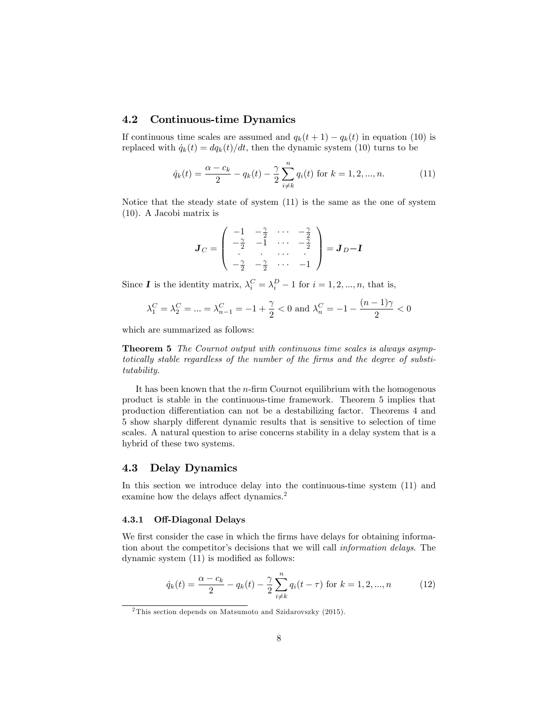## 4.2 Continuous-time Dynamics

If continuous time scales are assumed and  $q_k(t + 1) - q_k(t)$  in equation (10) is replaced with  $\dot{q}_k(t) = dq_k(t)/dt$ , then the dynamic system (10) turns to be

$$
\dot{q}_k(t) = \frac{\alpha - c_k}{2} - q_k(t) - \frac{\gamma}{2} \sum_{i \neq k}^n q_i(t) \text{ for } k = 1, 2, ..., n. \tag{11}
$$

Notice that the steady state of system (11) is the same as the one of system (10). A Jacobi matrix is

$$
\boldsymbol{J}_C = \begin{pmatrix} -1 & -\frac{\gamma}{2} & \cdots & -\frac{\gamma}{2} \\ -\frac{\gamma}{2} & -1 & \cdots & -\frac{\gamma}{2} \\ \vdots & \vdots & \cdots & \vdots \\ -\frac{\gamma}{2} & -\frac{\gamma}{2} & \cdots & -1 \end{pmatrix} = \boldsymbol{J}_D - \boldsymbol{I}
$$

Since **I** is the identity matrix,  $\lambda_i^C = \lambda_i^D - 1$  for  $i = 1, 2, ..., n$ , that is,

$$
\lambda_1^C = \lambda_2^C = \dots = \lambda_{n-1}^C = -1 + \frac{\gamma}{2} < 0
$$
 and  $\lambda_n^C = -1 - \frac{(n-1)\gamma}{2} < 0$ 

which are summarized as follows:

Theorem 5 The Cournot output with continuous time scales is always asymptotically stable regardless of the number of the firms and the degree of substitutability.

It has been known that the  $n$ -firm Cournot equilibrium with the homogenous product is stable in the continuous-time framework. Theorem 5 implies that production differentiation can not be a destabilizing factor. Theorems 4 and 5 show sharply different dynamic results that is sensitive to selection of time scales. A natural question to arise concerns stability in a delay system that is a hybrid of these two systems.

## 4.3 Delay Dynamics

In this section we introduce delay into the continuous-time system (11) and examine how the delays affect dynamics.<sup>2</sup>

#### 4.3.1 Off-Diagonal Delays

We first consider the case in which the firms have delays for obtaining information about the competitor's decisions that we will call *information delays*. The dynamic system  $(11)$  is modified as follows:

$$
\dot{q}_k(t) = \frac{\alpha - c_k}{2} - q_k(t) - \frac{\gamma}{2} \sum_{i \neq k}^n q_i(t - \tau) \text{ for } k = 1, 2, ..., n \tag{12}
$$

<sup>2</sup> This section depends on Matsumoto and Szidarovszky (2015).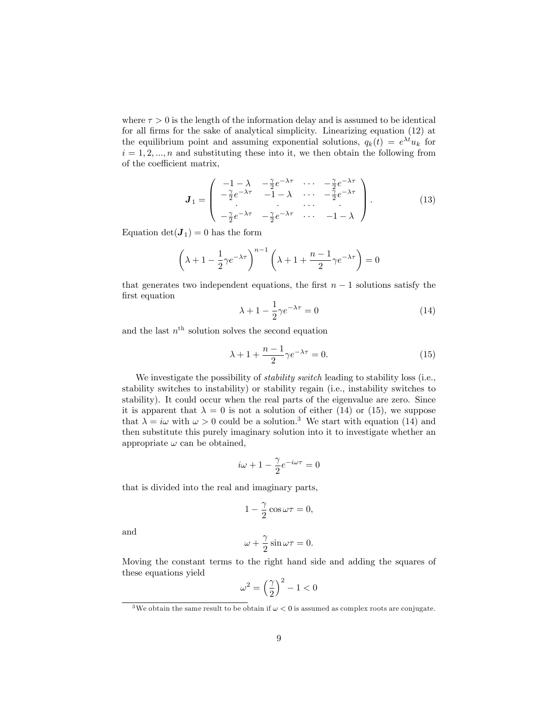where  $\tau > 0$  is the length of the information delay and is assumed to be identical for all firms for the sake of analytical simplicity. Linearizing equation (12) at the equilibrium point and assuming exponential solutions,  $q_k(t) = e^{\lambda t} u_k$  for  $i = 1, 2, ..., n$  and substituting these into it, we then obtain the following from of the coefficient matrix,

$$
\mathbf{J}_1 = \begin{pmatrix} -1 - \lambda & -\frac{\gamma}{2} e^{-\lambda \tau} & \cdots & -\frac{\gamma}{2} e^{-\lambda \tau} \\ -\frac{\gamma}{2} e^{-\lambda \tau} & -1 - \lambda & \cdots & -\frac{\gamma}{2} e^{-\lambda \tau} \\ \vdots & \vdots & \ddots & \vdots \\ -\frac{\gamma}{2} e^{-\lambda \tau} & -\frac{\gamma}{2} e^{-\lambda \tau} & \cdots & -1 - \lambda \end{pmatrix} . \tag{13}
$$

Equation  $det(\mathbf{J}_1) = 0$  has the form

$$
\left(\lambda + 1 - \frac{1}{2}\gamma e^{-\lambda \tau}\right)^{n-1} \left(\lambda + 1 + \frac{n-1}{2}\gamma e^{-\lambda \tau}\right) = 0
$$

that generates two independent equations, the first  $n - 1$  solutions satisfy the first equation

$$
\lambda + 1 - \frac{1}{2}\gamma e^{-\lambda \tau} = 0 \tag{14}
$$

and the last  $n<sup>th</sup>$  solution solves the second equation

$$
\lambda + 1 + \frac{n-1}{2} \gamma e^{-\lambda \tau} = 0. \tag{15}
$$

We investigate the possibility of *stability switch* leading to stability loss (i.e., stability switches to instability) or stability regain (i.e., instability switches to stability). It could occur when the real parts of the eigenvalue are zero. Since it is apparent that  $\lambda = 0$  is not a solution of either (14) or (15), we suppose that  $\lambda = i\omega$  with  $\omega > 0$  could be a solution.<sup>3</sup> We start with equation (14) and then substitute this purely imaginary solution into it to investigate whether an appropriate  $\omega$  can be obtained,

$$
i\omega + 1 - \frac{\gamma}{2}e^{-i\omega\tau} = 0
$$

that is divided into the real and imaginary parts,

$$
1 - \frac{\gamma}{2}\cos \omega \tau = 0,
$$

and

$$
\omega + \frac{\gamma}{2}\sin \omega \tau = 0.
$$

Moving the constant terms to the right hand side and adding the squares of these equations yield

$$
\omega^2 = \left(\frac{\gamma}{2}\right)^2 - 1 < 0
$$

 $^3$  We obtain the same result to be obtain if  $\omega < 0$  is assumed as complex roots are conjugate.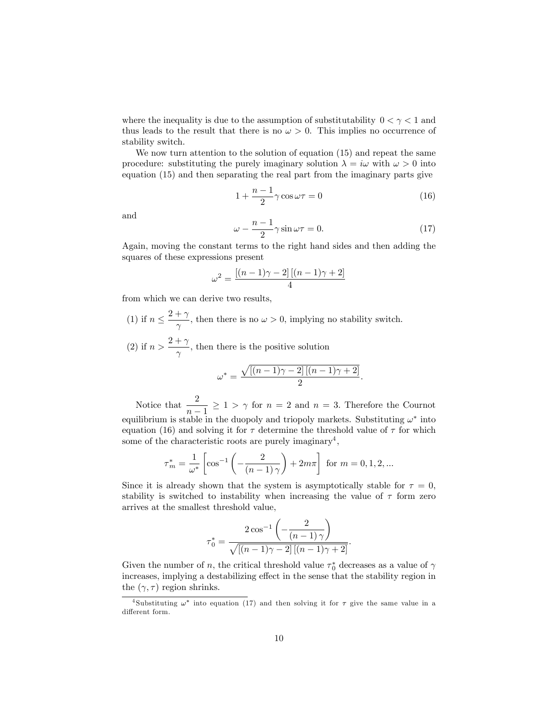where the inequality is due to the assumption of substitutability  $0 < \gamma < 1$  and thus leads to the result that there is no  $\omega > 0$ . This implies no occurrence of stability switch.

We now turn attention to the solution of equation (15) and repeat the same procedure: substituting the purely imaginary solution  $\lambda = i\omega$  with  $\omega > 0$  into equation (15) and then separating the real part from the imaginary parts give

$$
1 + \frac{n-1}{2}\gamma \cos \omega \tau = 0 \tag{16}
$$

and

$$
\omega - \frac{n-1}{2}\gamma \sin \omega \tau = 0. \tag{17}
$$

Again, moving the constant terms to the right hand sides and then adding the squares of these expressions present

$$
\omega^2 = \frac{\left[ (n-1)\gamma - 2 \right] \left[ (n-1)\gamma + 2 \right]}{4}
$$

from which we can derive two results,

(1) if  $n \leq \frac{2+\gamma}{\gamma}$  $\frac{n}{\gamma}$ , then there is no  $\omega > 0$ , implying no stability switch. (2) if  $n > \frac{2+\gamma}{\gamma}$  $\frac{1}{\gamma}$ , then there is the positive solution

$$
\omega^* = \frac{\sqrt{\left[(n-1)\gamma - 2\right]\left[(n-1)\gamma + 2\right]}}{2}.
$$

Notice that  $\frac{2}{1}$  $\frac{1}{n-1} \geq 1 > \gamma$  for  $n = 2$  and  $n = 3$ . Therefore the Cournot equilibrium is stable in the duopoly and triopoly markets. Substituting  $\omega^*$  into equation (16) and solving it for  $\tau$  determine the threshold value of  $\tau$  for which some of the characteristic roots are purely imaginary<sup>4</sup>,

$$
\tau_m^* = \frac{1}{\omega^*} \left[ \cos^{-1} \left( -\frac{2}{(n-1)\gamma} \right) + 2m\pi \right] \text{ for } m = 0, 1, 2, ...
$$

Since it is already shown that the system is asymptotically stable for  $\tau = 0$ , stability is switched to instability when increasing the value of  $\tau$  form zero arrives at the smallest threshold value,

$$
\tau_0^* = \frac{2\cos^{-1}\left(-\frac{2}{(n-1)\gamma}\right)}{\sqrt{[(n-1)\gamma - 2]\left[(n-1)\gamma + 2\right]}}.
$$

Given the number of n, the critical threshold value  $\tau_0^*$  decreases as a value of  $\gamma$ increases, implying a destabilizing effect in the sense that the stability region in the  $(\gamma, \tau)$  region shrinks.

<sup>&</sup>lt;sup>4</sup>Substituting  $\omega^*$  into equation (17) and then solving it for  $\tau$  give the same value in a different form.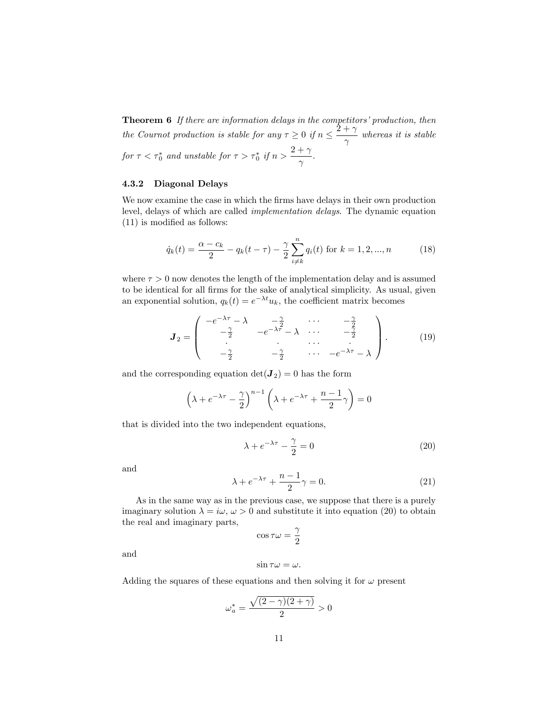**Theorem 6** If there are information delays in the competitors' production, then the Cournot production is stable for any  $\tau \geq 0$  if  $n \leq \frac{2+\gamma}{\gamma}$  $\frac{1}{\gamma}$  whereas it is stable for  $\tau < \tau_0^*$  and unstable for  $\tau > \tau_0^*$  if  $n > \frac{2+\gamma}{\gamma}$  $\frac{1}{\gamma}$ .

#### 4.3.2 Diagonal Delays

We now examine the case in which the firms have delays in their own production level, delays of which are called implementation delays. The dynamic equation  $(11)$  is modified as follows:

$$
\dot{q}_k(t) = \frac{\alpha - c_k}{2} - q_k(t - \tau) - \frac{\gamma}{2} \sum_{i \neq k}^{n} q_i(t) \text{ for } k = 1, 2, ..., n \tag{18}
$$

where  $\tau > 0$  now denotes the length of the implementation delay and is assumed to be identical for all firms for the sake of analytical simplicity. As usual, given an exponential solution,  $q_k(t) = e^{-\lambda t} u_k$ , the coefficient matrix becomes

$$
\boldsymbol{J}_2 = \begin{pmatrix} -e^{-\lambda \tau} - \lambda & -\frac{\gamma}{2} & \cdots & -\frac{\gamma}{2} \\ -\frac{\gamma}{2} & -e^{-\lambda \tau} - \lambda & \cdots & -\frac{\gamma}{2} \\ \vdots & \vdots & \ddots & \vdots \\ -\frac{\gamma}{2} & -\frac{\gamma}{2} & \cdots & -e^{-\lambda \tau} - \lambda \end{pmatrix} . \tag{19}
$$

and the corresponding equation  $\det(\mathbf{J}_2) = 0$  has the form

$$
\left(\lambda + e^{-\lambda \tau} - \frac{\gamma}{2}\right)^{n-1} \left(\lambda + e^{-\lambda \tau} + \frac{n-1}{2}\gamma\right) = 0
$$

that is divided into the two independent equations,

$$
\lambda + e^{-\lambda \tau} - \frac{\gamma}{2} = 0 \tag{20}
$$

and

$$
\lambda + e^{-\lambda \tau} + \frac{n-1}{2} \gamma = 0. \tag{21}
$$

As in the same way as in the previous case, we suppose that there is a purely imaginary solution  $\lambda = i\omega, \omega > 0$  and substitute it into equation (20) to obtain the real and imaginary parts,

$$
\cos\tau\omega=\frac{\gamma}{2}
$$

and

$$
\sin \tau \omega = \omega.
$$

Adding the squares of these equations and then solving it for  $\omega$  present

$$
\omega_a^*=\frac{\sqrt{(2-\gamma)(2+\gamma)}}{2}>0
$$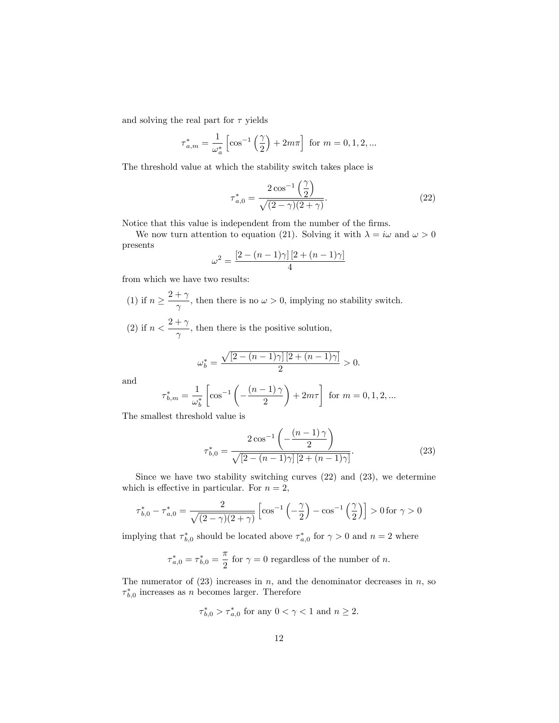and solving the real part for  $\tau$  yields

$$
\tau_{a,m}^* = \frac{1}{\omega_a^*} \left[ \cos^{-1} \left( \frac{\gamma}{2} \right) + 2m\pi \right] \text{ for } m = 0, 1, 2, ...
$$

The threshold value at which the stability switch takes place is

$$
\tau_{a,0}^* = \frac{2\cos^{-1}\left(\frac{\gamma}{2}\right)}{\sqrt{(2-\gamma)(2+\gamma)}}.\tag{22}
$$

Notice that this value is independent from the number of the firms.

We now turn attention to equation (21). Solving it with  $\lambda = i\omega$  and  $\omega > 0$ presents

$$
\omega^2 = \frac{\left[2 - (n-1)\gamma\right]\left[2 + (n-1)\gamma\right]}{4}
$$

from which we have two results:

- (1) if  $n \geq \frac{2+\gamma}{\gamma}$  $\frac{n}{\gamma}$ , then there is no  $\omega > 0$ , implying no stability switch.
- (2) if  $n < \frac{2+\gamma}{\gamma}$  $\frac{1}{\gamma}$ , then there is the positive solution,

$$
\omega_b^* = \frac{\sqrt{\left[2 - (n-1)\gamma\right]\left[2 + (n-1)\gamma\right]}}{2} > 0.
$$

and

$$
\tau_{b,m}^* = \frac{1}{\omega_b^*} \left[ \cos^{-1}\left( -\frac{(n-1)\,\gamma}{2} \right) + 2m\tau \right] \text{ for } m = 0,1,2,\ldots
$$

The smallest threshold value is

$$
\tau_{b,0}^{*} = \frac{2\cos^{-1}\left(-\frac{(n-1)\,\gamma}{2}\right)}{\sqrt{[2-(n-1)\gamma]\,[2+(n-1)\gamma]}}.\tag{23}
$$

Since we have two stability switching curves (22) and (23), we determine which is effective in particular. For  $n = 2$ ,

$$
\tau_{b,0}^* - \tau_{a,0}^* = \frac{2}{\sqrt{(2-\gamma)(2+\gamma)}} \left[ \cos^{-1}\left(-\frac{\gamma}{2}\right) - \cos^{-1}\left(\frac{\gamma}{2}\right) \right] > 0 \text{ for } \gamma > 0
$$

implying that  $\tau_{b,0}^*$  should be located above  $\tau_{a,0}^*$  for  $\gamma > 0$  and  $n = 2$  where

$$
\boldsymbol{\tau}_{a,0}^*=\boldsymbol{\tau}_{b,0}^*=\frac{\pi}{2}
$$
 for  $\gamma=0$  regardless of the number of  $n.$ 

The numerator of  $(23)$  increases in n, and the denominator decreases in n, so  $\tau_{b,0}^*$  increases as n becomes larger. Therefore

$$
\tau_{b,0}^* > \tau_{a,0}^*
$$
 for any  $0 < \gamma < 1$  and  $n \ge 2$ .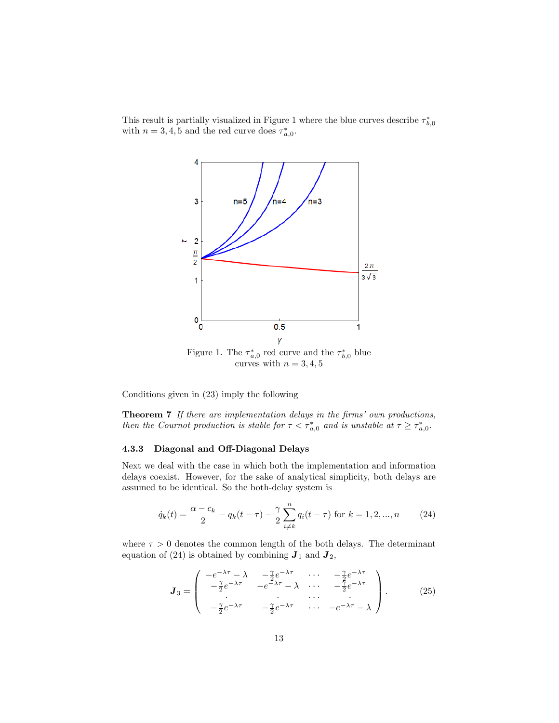This result is partially visualized in Figure 1 where the blue curves describe  $\tau_{b,0}^*$ with  $n = 3, 4, 5$  and the red curve does  $\tau_{a,0}^*$ .



Figure 1. The  $\tau_{a,0}^*$  red curve and the  $\tau_{b,0}^*$  blue curves with  $n = 3, 4, 5$ 

Conditions given in (23) imply the following

Theorem 7 If there are implementation delays in the firms' own productions, then the Cournot production is stable for  $\tau < \tau_{a,0}^*$  and is unstable at  $\tau \geq \tau_{a,0}^*$ .

#### 4.3.3 Diagonal and Off-Diagonal Delays

Next we deal with the case in which both the implementation and information delays coexist. However, for the sake of analytical simplicity, both delays are assumed to be identical. So the both-delay system is

$$
\dot{q}_k(t) = \frac{\alpha - c_k}{2} - q_k(t - \tau) - \frac{\gamma}{2} \sum_{i \neq k}^{n} q_i(t - \tau) \text{ for } k = 1, 2, ..., n \tag{24}
$$

where  $\tau > 0$  denotes the common length of the both delays. The determinant equation of (24) is obtained by combining  $J_1$  and  $J_2$ ,

$$
\boldsymbol{J}_{3} = \begin{pmatrix} -e^{-\lambda\tau} - \lambda & -\frac{\gamma}{2}e^{-\lambda\tau} & \cdots & -\frac{\gamma}{2}e^{-\lambda\tau} \\ -\frac{\gamma}{2}e^{-\lambda\tau} & -e^{-\lambda\tau} - \lambda & \cdots & -\frac{\gamma}{2}e^{-\lambda\tau} \\ -\frac{\gamma}{2}e^{-\lambda\tau} & -\frac{\gamma}{2}e^{-\lambda\tau} & \cdots & -e^{-\lambda\tau} - \lambda \end{pmatrix}.
$$
 (25)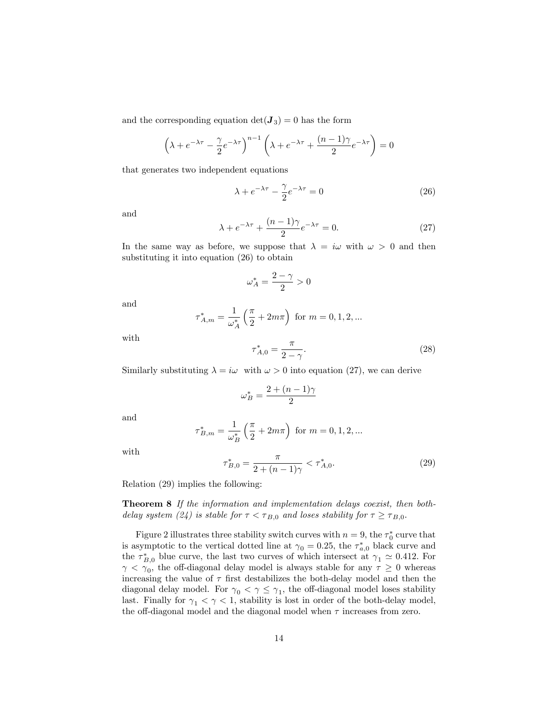and the corresponding equation  $\det(\mathbf{J}_3) = 0$  has the form

$$
\left(\lambda + e^{-\lambda \tau} - \frac{\gamma}{2} e^{-\lambda \tau}\right)^{n-1} \left(\lambda + e^{-\lambda \tau} + \frac{(n-1)\gamma}{2} e^{-\lambda \tau}\right) = 0
$$

that generates two independent equations

$$
\lambda + e^{-\lambda \tau} - \frac{\gamma}{2} e^{-\lambda \tau} = 0 \tag{26}
$$

and

$$
\lambda + e^{-\lambda \tau} + \frac{(n-1)\gamma}{2} e^{-\lambda \tau} = 0.
$$
 (27)

In the same way as before, we suppose that  $\lambda = i\omega$  with  $\omega > 0$  and then substituting it into equation (26) to obtain

$$
\omega^*_A=\frac{2-\gamma}{2}>0
$$

and

$$
\tau_{A,m}^*=\frac{1}{\omega_A^*}\left(\frac{\pi}{2}+2m\pi\right) \text{ for } m=0,1,2,\ldots
$$

with

$$
\tau_{A,0}^* = \frac{\pi}{2 - \gamma}.\tag{28}
$$

Similarly substituting  $\lambda = i\omega$  with  $\omega > 0$  into equation (27), we can derive

$$
\omega_B^* = \frac{2 + (n-1)\gamma}{2}
$$

and

$$
\tau_{B,m}^* = \frac{1}{\omega_B^*} \left( \frac{\pi}{2} + 2m\pi \right)
$$
 for  $m = 0, 1, 2, ...$ 

with

$$
\tau_{B,0}^* = \frac{\pi}{2 + (n-1)\gamma} < \tau_{A,0}^*.\tag{29}
$$

Relation (29) implies the following:

Theorem 8 If the information and implementation delays coexist, then bothdelay system (24) is stable for  $\tau < \tau_{B,0}$  and loses stability for  $\tau \geq \tau_{B,0}$ .

Figure 2 illustrates three stability switch curves with  $n = 9$ , the  $\tau_0^*$  curve that is asymptotic to the vertical dotted line at  $\gamma_0 = 0.25$ , the  $\tau_{a,0}^*$  black curve and the  $\tau_{B,0}^*$  blue curve, the last two curves of which intersect at  $\gamma_1 \simeq 0.412$ . For  $\gamma < \gamma_0$ , the off-diagonal delay model is always stable for any  $\tau \geq 0$  whereas increasing the value of  $\tau$  first destabilizes the both-delay model and then the diagonal delay model. For  $\gamma_0 < \gamma \leq \gamma_1$ , the off-diagonal model loses stability last. Finally for  $\gamma_1 < \gamma < 1$ , stability is lost in order of the both-delay model, the off-diagonal model and the diagonal model when  $\tau$  increases from zero.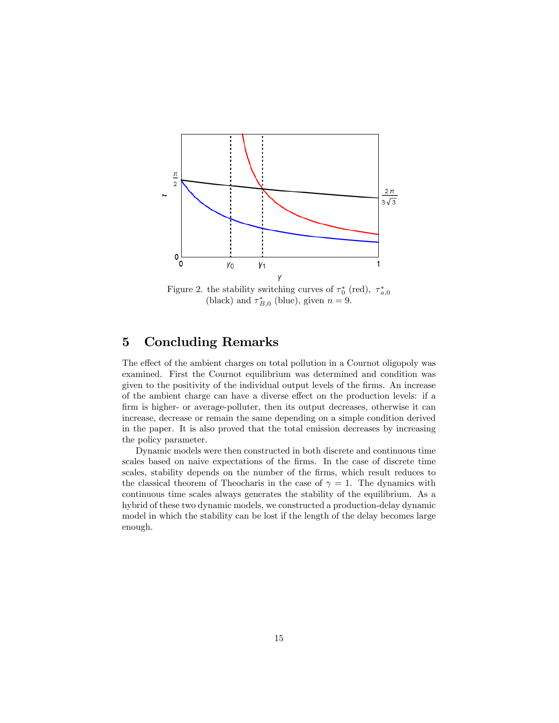

Figure 2. the stability switching curves of  $\tau_0^*$  (red),  $\tau_{a,0}^*$  (black) and  $\tau_{B,0}^*$  (blue), given  $n = 9$ .

# 5 Concluding Remarks

The effect of the ambient charges on total pollution in a Cournot oligopoly was examined. First the Cournot equilibrium was determined and condition was given to the positivity of the individual output levels of the Örms. An increase of the ambient charge can have a diverse effect on the production levels: if a firm is higher- or average-polluter, then its output decreases, otherwise it can increase, decrease or remain the same depending on a simple condition derived in the paper. It is also proved that the total emission decreases by increasing the policy parameter.

Dynamic models were then constructed in both discrete and continuous time scales based on naive expectations of the firms. In the case of discrete time scales, stability depends on the number of the firms, which result reduces to the classical theorem of Theocharis in the case of  $\gamma = 1$ . The dynamics with continuous time scales always generates the stability of the equilibrium. As a hybrid of these two dynamic models, we constructed a production-delay dynamic model in which the stability can be lost if the length of the delay becomes large enough.